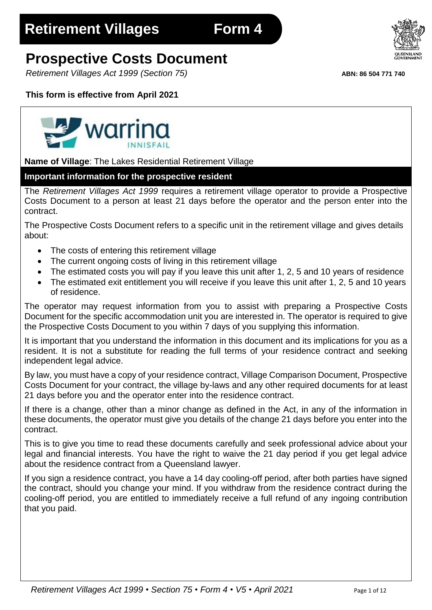# **Prospective Costs Document**

*Retirement Villages Act 1999 (Section 75)* **ABN: 86 504 771 740**

# **This form is effective from April 2021**



**Name of Village**: The Lakes Residential Retirement Village

# **Important information for the prospective resident**

The *Retirement Villages Act 1999* requires a retirement village operator to provide a Prospective Costs Document to a person at least 21 days before the operator and the person enter into the contract.

The Prospective Costs Document refers to a specific unit in the retirement village and gives details about:

- The costs of entering this retirement village
- The current ongoing costs of living in this retirement village
- The estimated costs you will pay if you leave this unit after 1, 2, 5 and 10 years of residence
- The estimated exit entitlement you will receive if you leave this unit after 1, 2, 5 and 10 years of residence.

The operator may request information from you to assist with preparing a Prospective Costs Document for the specific accommodation unit you are interested in. The operator is required to give the Prospective Costs Document to you within 7 days of you supplying this information.

It is important that you understand the information in this document and its implications for you as a resident. It is not a substitute for reading the full terms of your residence contract and seeking independent legal advice.

By law, you must have a copy of your residence contract, Village Comparison Document, Prospective Costs Document for your contract, the village by-laws and any other required documents for at least 21 days before you and the operator enter into the residence contract.

If there is a change, other than a minor change as defined in the Act, in any of the information in these documents, the operator must give you details of the change 21 days before you enter into the contract.

This is to give you time to read these documents carefully and seek professional advice about your legal and financial interests. You have the right to waive the 21 day period if you get legal advice about the residence contract from a Queensland lawyer.

If you sign a residence contract, you have a 14 day cooling-off period, after both parties have signed the contract, should you change your mind. If you withdraw from the residence contract during the cooling-off period, you are entitled to immediately receive a full refund of any ingoing contribution that you paid.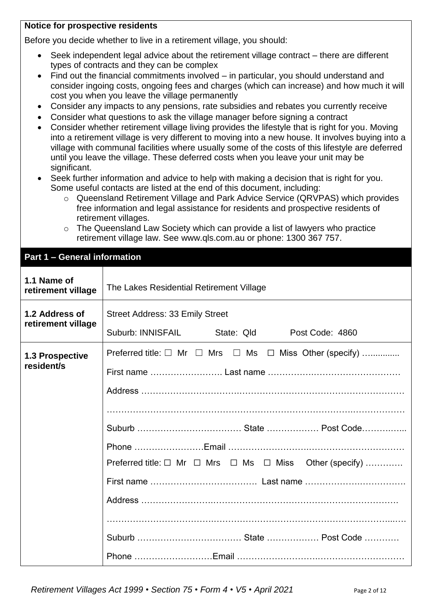#### **Notice for prospective residents**

Before you decide whether to live in a retirement village, you should:

- Seek independent legal advice about the retirement village contract there are different types of contracts and they can be complex
- Find out the financial commitments involved in particular, you should understand and consider ingoing costs, ongoing fees and charges (which can increase) and how much it will cost you when you leave the village permanently
- Consider any impacts to any pensions, rate subsidies and rebates you currently receive
- Consider what questions to ask the village manager before signing a contract
- Consider whether retirement village living provides the lifestyle that is right for you. Moving into a retirement village is very different to moving into a new house. It involves buying into a village with communal facilities where usually some of the costs of this lifestyle are deferred until you leave the village. These deferred costs when you leave your unit may be significant.
- Seek further information and advice to help with making a decision that is right for you. Some useful contacts are listed at the end of this document, including:
	- o Queensland Retirement Village and Park Advice Service (QRVPAS) which provides free information and legal assistance for residents and prospective residents of retirement villages.
	- o The Queensland Law Society which can provide a list of lawyers who practice retirement village law. See [www.qls.com.au](http://www.qls.com.au/) or phone: 1300 367 757.

#### **Part 1 – General information**

| 1.1 Name of<br>retirement village    | The Lakes Residential Retirement Village                                    |  |  |  |  |  |
|--------------------------------------|-----------------------------------------------------------------------------|--|--|--|--|--|
| 1.2 Address of<br>retirement village | <b>Street Address: 33 Emily Street</b>                                      |  |  |  |  |  |
|                                      | Suburb: INNISFAIL State: Qld<br>Post Code: 4860                             |  |  |  |  |  |
| 1.3 Prospective                      | Preferred title: $\Box$ Mr $\Box$ Mrs $\Box$ Ms $\Box$ Miss Other (specify) |  |  |  |  |  |
| resident/s                           |                                                                             |  |  |  |  |  |
|                                      |                                                                             |  |  |  |  |  |
|                                      |                                                                             |  |  |  |  |  |
|                                      |                                                                             |  |  |  |  |  |
|                                      |                                                                             |  |  |  |  |  |
|                                      | Preferred title: □ Mr □ Mrs □ Ms □ Miss Other (specify)                     |  |  |  |  |  |
|                                      |                                                                             |  |  |  |  |  |
|                                      |                                                                             |  |  |  |  |  |
|                                      |                                                                             |  |  |  |  |  |
|                                      |                                                                             |  |  |  |  |  |
|                                      |                                                                             |  |  |  |  |  |

*Retirement Villages Act 1999* • *Section 75* • *Form 4* • *V5 • April 2021* Page 2 of 12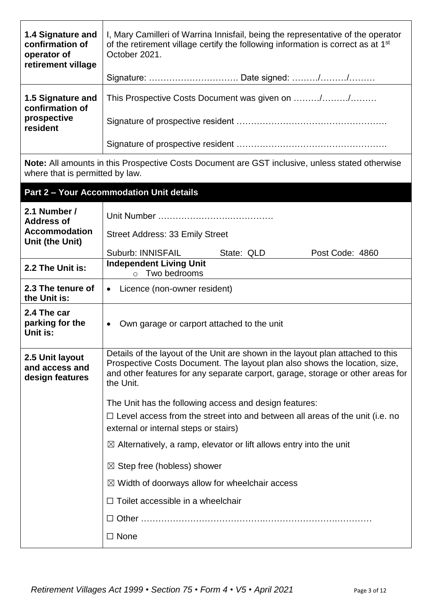| 1.4 Signature and<br>confirmation of<br>operator of<br>retirement village | I, Mary Camilleri of Warrina Innisfail, being the representative of the operator<br>of the retirement village certify the following information is correct as at 1 <sup>st</sup><br>October 2021.                                                             |  |  |  |  |  |
|---------------------------------------------------------------------------|---------------------------------------------------------------------------------------------------------------------------------------------------------------------------------------------------------------------------------------------------------------|--|--|--|--|--|
|                                                                           |                                                                                                                                                                                                                                                               |  |  |  |  |  |
| 1.5 Signature and<br>confirmation of                                      | This Prospective Costs Document was given on //                                                                                                                                                                                                               |  |  |  |  |  |
| prospective<br>resident                                                   |                                                                                                                                                                                                                                                               |  |  |  |  |  |
|                                                                           |                                                                                                                                                                                                                                                               |  |  |  |  |  |
| where that is permitted by law.                                           | <b>Note:</b> All amounts in this Prospective Costs Document are GST inclusive, unless stated otherwise                                                                                                                                                        |  |  |  |  |  |
|                                                                           | <b>Part 2 - Your Accommodation Unit details</b>                                                                                                                                                                                                               |  |  |  |  |  |
| 2.1 Number /<br><b>Address of</b>                                         |                                                                                                                                                                                                                                                               |  |  |  |  |  |
| <b>Accommodation</b><br>Unit (the Unit)                                   | <b>Street Address: 33 Emily Street</b>                                                                                                                                                                                                                        |  |  |  |  |  |
|                                                                           | Suburb: INNISFAIL<br>State: QLD<br>Post Code: 4860                                                                                                                                                                                                            |  |  |  |  |  |
| 2.2 The Unit is:                                                          | <b>Independent Living Unit</b><br>Two bedrooms<br>$\circ$                                                                                                                                                                                                     |  |  |  |  |  |
| 2.3 The tenure of<br>the Unit is:                                         | Licence (non-owner resident)<br>$\bullet$                                                                                                                                                                                                                     |  |  |  |  |  |
| 2.4 The car<br>parking for the<br>Unit is:                                | Own garage or carport attached to the unit<br>$\bullet$                                                                                                                                                                                                       |  |  |  |  |  |
| 2.5 Unit layout<br>and access and<br>design features                      | Details of the layout of the Unit are shown in the layout plan attached to this<br>Prospective Costs Document. The layout plan also shows the location, size,<br>and other features for any separate carport, garage, storage or other areas for<br>the Unit. |  |  |  |  |  |
|                                                                           | The Unit has the following access and design features:                                                                                                                                                                                                        |  |  |  |  |  |
|                                                                           | $\Box$ Level access from the street into and between all areas of the unit (i.e. no<br>external or internal steps or stairs)                                                                                                                                  |  |  |  |  |  |
|                                                                           | $\boxtimes$ Alternatively, a ramp, elevator or lift allows entry into the unit                                                                                                                                                                                |  |  |  |  |  |
|                                                                           | $\boxtimes$ Step free (hobless) shower                                                                                                                                                                                                                        |  |  |  |  |  |
|                                                                           | $\boxtimes$ Width of doorways allow for wheelchair access                                                                                                                                                                                                     |  |  |  |  |  |
|                                                                           | $\Box$ Toilet accessible in a wheelchair                                                                                                                                                                                                                      |  |  |  |  |  |
|                                                                           |                                                                                                                                                                                                                                                               |  |  |  |  |  |
|                                                                           | $\Box$ None                                                                                                                                                                                                                                                   |  |  |  |  |  |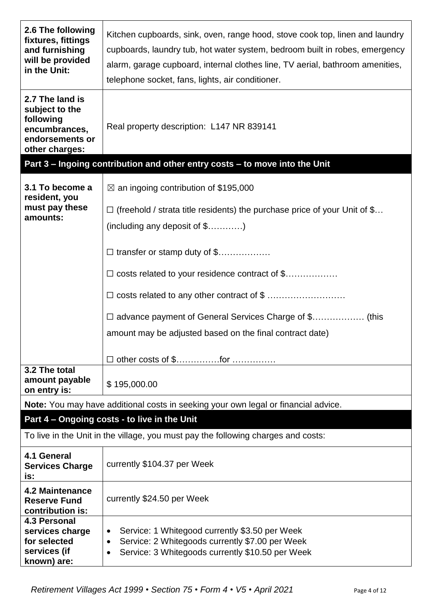| 2.6 The following<br>fixtures, fittings<br>and furnishing<br>will be provided<br>in the Unit:        | Kitchen cupboards, sink, oven, range hood, stove cook top, linen and laundry<br>cupboards, laundry tub, hot water system, bedroom built in robes, emergency<br>alarm, garage cupboard, internal clothes line, TV aerial, bathroom amenities,<br>telephone socket, fans, lights, air conditioner. |  |  |  |  |
|------------------------------------------------------------------------------------------------------|--------------------------------------------------------------------------------------------------------------------------------------------------------------------------------------------------------------------------------------------------------------------------------------------------|--|--|--|--|
| 2.7 The land is<br>subject to the<br>following<br>encumbrances,<br>endorsements or<br>other charges: | Real property description: L147 NR 839141                                                                                                                                                                                                                                                        |  |  |  |  |
|                                                                                                      | Part 3 - Ingoing contribution and other entry costs - to move into the Unit                                                                                                                                                                                                                      |  |  |  |  |
| 3.1 To become a                                                                                      | $\boxtimes$ an ingoing contribution of \$195,000                                                                                                                                                                                                                                                 |  |  |  |  |
| resident, you<br>must pay these<br>amounts:                                                          | $\Box$ (freehold / strata title residents) the purchase price of your Unit of \$<br>$(including any deposit of $)$                                                                                                                                                                               |  |  |  |  |
|                                                                                                      | $\Box$ transfer or stamp duty of \$                                                                                                                                                                                                                                                              |  |  |  |  |
|                                                                                                      | $\Box$ costs related to your residence contract of \$                                                                                                                                                                                                                                            |  |  |  |  |
|                                                                                                      |                                                                                                                                                                                                                                                                                                  |  |  |  |  |
|                                                                                                      |                                                                                                                                                                                                                                                                                                  |  |  |  |  |
|                                                                                                      |                                                                                                                                                                                                                                                                                                  |  |  |  |  |
|                                                                                                      | amount may be adjusted based on the final contract date)                                                                                                                                                                                                                                         |  |  |  |  |
|                                                                                                      | □ other costs of \$for                                                                                                                                                                                                                                                                           |  |  |  |  |
| 3.2 The total<br>amount payable<br>on entry is:                                                      | \$195,000.00                                                                                                                                                                                                                                                                                     |  |  |  |  |
|                                                                                                      | <b>Note:</b> You may have additional costs in seeking your own legal or financial advice.                                                                                                                                                                                                        |  |  |  |  |
|                                                                                                      | Part 4 - Ongoing costs - to live in the Unit                                                                                                                                                                                                                                                     |  |  |  |  |
|                                                                                                      | To live in the Unit in the village, you must pay the following charges and costs:                                                                                                                                                                                                                |  |  |  |  |
| 4.1 General<br><b>Services Charge</b><br>is:                                                         | currently \$104.37 per Week                                                                                                                                                                                                                                                                      |  |  |  |  |
| 4.2 Maintenance<br><b>Reserve Fund</b><br>contribution is:                                           | currently \$24.50 per Week                                                                                                                                                                                                                                                                       |  |  |  |  |
| <b>4.3 Personal</b><br>services charge<br>for selected<br>services (if<br>known) are:                | Service: 1 Whitegood currently \$3.50 per Week<br>$\bullet$<br>Service: 2 Whitegoods currently \$7.00 per Week<br>$\bullet$<br>Service: 3 Whitegoods currently \$10.50 per Week                                                                                                                  |  |  |  |  |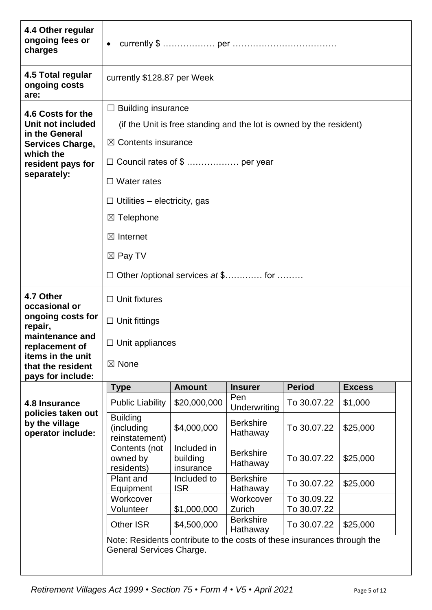| 4.4 Other regular<br>ongoing fees or<br>charges             | $\bullet$                                                               |                                      |                                                                     |               |               |  |  |
|-------------------------------------------------------------|-------------------------------------------------------------------------|--------------------------------------|---------------------------------------------------------------------|---------------|---------------|--|--|
| 4.5 Total regular<br>ongoing costs<br>are:                  | currently \$128.87 per Week                                             |                                      |                                                                     |               |               |  |  |
| 4.6 Costs for the                                           | $\Box$ Building insurance                                               |                                      |                                                                     |               |               |  |  |
| Unit not included                                           |                                                                         |                                      | (if the Unit is free standing and the lot is owned by the resident) |               |               |  |  |
| in the General                                              |                                                                         |                                      |                                                                     |               |               |  |  |
| <b>Services Charge,</b><br>which the                        | $\boxtimes$ Contents insurance                                          |                                      |                                                                     |               |               |  |  |
| resident pays for                                           | $\Box$ Council rates of \$  per year                                    |                                      |                                                                     |               |               |  |  |
| separately:                                                 | $\Box$ Water rates                                                      |                                      |                                                                     |               |               |  |  |
|                                                             | $\Box$ Utilities – electricity, gas                                     |                                      |                                                                     |               |               |  |  |
|                                                             | $\boxtimes$ Telephone                                                   |                                      |                                                                     |               |               |  |  |
|                                                             | $\boxtimes$ Internet                                                    |                                      |                                                                     |               |               |  |  |
|                                                             | $\boxtimes$ Pay TV                                                      |                                      |                                                                     |               |               |  |  |
|                                                             | $\Box$ Other /optional services at \$ for                               |                                      |                                                                     |               |               |  |  |
| 4.7 Other<br>occasional or                                  | $\Box$ Unit fixtures                                                    |                                      |                                                                     |               |               |  |  |
| ongoing costs for<br>repair,                                | $\Box$ Unit fittings                                                    |                                      |                                                                     |               |               |  |  |
| maintenance and<br>replacement of                           | $\Box$ Unit appliances                                                  |                                      |                                                                     |               |               |  |  |
| items in the unit<br>that the resident<br>pays for include: |                                                                         |                                      |                                                                     |               |               |  |  |
|                                                             | <b>Type</b>                                                             | <b>Amount</b>                        | <b>Insurer</b>                                                      | <b>Period</b> | <b>Excess</b> |  |  |
| 4.8 Insurance<br>policies taken out                         | <b>Public Liability</b>                                                 | \$20,000,000                         | Pen<br>Underwriting                                                 | To 30.07.22   | \$1,000       |  |  |
| by the village<br>operator include:                         | <b>Building</b><br>(including<br>reinstatement)                         | \$4,000,000                          | <b>Berkshire</b><br>Hathaway                                        | To 30.07.22   | \$25,000      |  |  |
|                                                             | Contents (not<br>owned by<br>residents)                                 | Included in<br>building<br>insurance | <b>Berkshire</b><br>Hathaway                                        | To 30.07.22   | \$25,000      |  |  |
|                                                             | Plant and                                                               | Included to                          | <b>Berkshire</b>                                                    | To 30.07.22   | \$25,000      |  |  |
|                                                             | Equipment<br>Workcover                                                  | <b>ISR</b>                           | Hathaway<br>Workcover                                               | To 30.09.22   |               |  |  |
|                                                             | Volunteer                                                               | \$1,000,000                          | Zurich                                                              | To 30.07.22   |               |  |  |
|                                                             | <b>Other ISR</b>                                                        | \$4,500,000                          | <b>Berkshire</b><br>Hathaway                                        | To 30.07.22   | \$25,000      |  |  |
|                                                             | Note: Residents contribute to the costs of these insurances through the |                                      |                                                                     |               |               |  |  |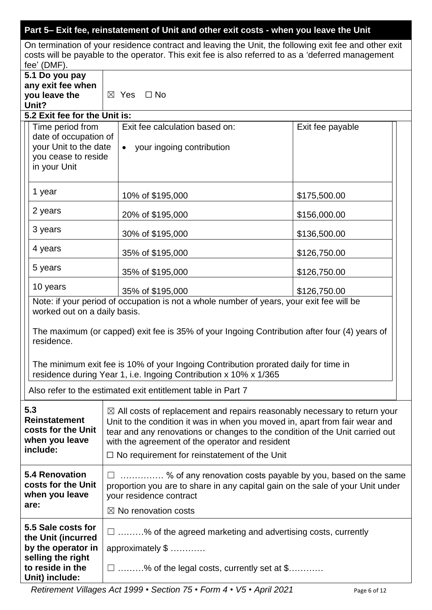# **Part 5– Exit fee, reinstatement of Unit and other exit costs - when you leave the Unit**

On termination of your residence contract and leaving the Unit, the following exit fee and other exit costs will be payable to the operator. This exit fee is also referred to as a 'deferred management fee' (DMF).

|                                                                                                                                                                                              | $100 \sqrt{P}$                                                       |                                                                                                                                                                     |                  |  |  |
|----------------------------------------------------------------------------------------------------------------------------------------------------------------------------------------------|----------------------------------------------------------------------|---------------------------------------------------------------------------------------------------------------------------------------------------------------------|------------------|--|--|
|                                                                                                                                                                                              | 5.1 Do you pay                                                       |                                                                                                                                                                     |                  |  |  |
|                                                                                                                                                                                              | any exit fee when                                                    |                                                                                                                                                                     |                  |  |  |
|                                                                                                                                                                                              | you leave the                                                        | $\boxtimes$ Yes $\Box$ No                                                                                                                                           |                  |  |  |
|                                                                                                                                                                                              | Unit?                                                                |                                                                                                                                                                     |                  |  |  |
|                                                                                                                                                                                              | 5.2 Exit fee for the Unit is:                                        |                                                                                                                                                                     |                  |  |  |
|                                                                                                                                                                                              | Time period from                                                     | Exit fee calculation based on:                                                                                                                                      | Exit fee payable |  |  |
|                                                                                                                                                                                              | date of occupation of                                                |                                                                                                                                                                     |                  |  |  |
|                                                                                                                                                                                              | your Unit to the date                                                | your ingoing contribution<br>$\bullet$                                                                                                                              |                  |  |  |
|                                                                                                                                                                                              | you cease to reside                                                  |                                                                                                                                                                     |                  |  |  |
|                                                                                                                                                                                              | in your Unit                                                         |                                                                                                                                                                     |                  |  |  |
|                                                                                                                                                                                              |                                                                      |                                                                                                                                                                     |                  |  |  |
|                                                                                                                                                                                              | 1 year                                                               | 10% of \$195,000                                                                                                                                                    | \$175,500.00     |  |  |
|                                                                                                                                                                                              |                                                                      |                                                                                                                                                                     |                  |  |  |
|                                                                                                                                                                                              | 2 years                                                              | 20% of \$195,000                                                                                                                                                    | \$156,000.00     |  |  |
|                                                                                                                                                                                              | 3 years                                                              |                                                                                                                                                                     |                  |  |  |
|                                                                                                                                                                                              |                                                                      | 30% of \$195,000                                                                                                                                                    | \$136,500.00     |  |  |
|                                                                                                                                                                                              | 4 years                                                              |                                                                                                                                                                     |                  |  |  |
|                                                                                                                                                                                              |                                                                      | 35% of \$195,000                                                                                                                                                    | \$126,750.00     |  |  |
|                                                                                                                                                                                              | 5 years                                                              | 35% of \$195,000                                                                                                                                                    | \$126,750.00     |  |  |
|                                                                                                                                                                                              |                                                                      |                                                                                                                                                                     |                  |  |  |
|                                                                                                                                                                                              | 10 years                                                             | 35% of \$195,000                                                                                                                                                    | \$126,750.00     |  |  |
|                                                                                                                                                                                              |                                                                      | Note: if your period of occupation is not a whole number of years, your exit fee will be                                                                            |                  |  |  |
|                                                                                                                                                                                              | worked out on a daily basis.                                         |                                                                                                                                                                     |                  |  |  |
|                                                                                                                                                                                              |                                                                      |                                                                                                                                                                     |                  |  |  |
|                                                                                                                                                                                              |                                                                      | The maximum (or capped) exit fee is 35% of your Ingoing Contribution after four (4) years of                                                                        |                  |  |  |
|                                                                                                                                                                                              | residence.                                                           |                                                                                                                                                                     |                  |  |  |
|                                                                                                                                                                                              |                                                                      |                                                                                                                                                                     |                  |  |  |
|                                                                                                                                                                                              |                                                                      | The minimum exit fee is 10% of your Ingoing Contribution prorated daily for time in                                                                                 |                  |  |  |
|                                                                                                                                                                                              |                                                                      | residence during Year 1, i.e. Ingoing Contribution x 10% x 1/365                                                                                                    |                  |  |  |
|                                                                                                                                                                                              |                                                                      |                                                                                                                                                                     |                  |  |  |
|                                                                                                                                                                                              |                                                                      | Also refer to the estimated exit entitlement table in Part 7                                                                                                        |                  |  |  |
|                                                                                                                                                                                              | 5.3                                                                  |                                                                                                                                                                     |                  |  |  |
|                                                                                                                                                                                              | Reinstatement                                                        | $\boxtimes$ All costs of replacement and repairs reasonably necessary to return your<br>Unit to the condition it was in when you moved in, apart from fair wear and |                  |  |  |
|                                                                                                                                                                                              | costs for the Unit                                                   |                                                                                                                                                                     |                  |  |  |
| when you leave                                                                                                                                                                               |                                                                      | tear and any renovations or changes to the condition of the Unit carried out<br>with the agreement of the operator and resident                                     |                  |  |  |
|                                                                                                                                                                                              | include:                                                             |                                                                                                                                                                     |                  |  |  |
|                                                                                                                                                                                              | $\Box$ No requirement for reinstatement of the Unit                  |                                                                                                                                                                     |                  |  |  |
|                                                                                                                                                                                              | <b>5.4 Renovation</b>                                                |                                                                                                                                                                     |                  |  |  |
| costs for the Unit<br>proportion you are to share in any capital gain on the sale of your Unit under<br>when you leave<br>your residence contract<br>are:<br>$\boxtimes$ No renovation costs |                                                                      | $\Box$ % of any renovation costs payable by you, based on the same                                                                                                  |                  |  |  |
|                                                                                                                                                                                              |                                                                      |                                                                                                                                                                     |                  |  |  |
|                                                                                                                                                                                              |                                                                      |                                                                                                                                                                     |                  |  |  |
|                                                                                                                                                                                              |                                                                      |                                                                                                                                                                     |                  |  |  |
|                                                                                                                                                                                              | 5.5 Sale costs for                                                   |                                                                                                                                                                     |                  |  |  |
| $\Box$ % of the agreed marketing and advertising costs, currently<br>the Unit (incurred                                                                                                      |                                                                      |                                                                                                                                                                     |                  |  |  |
|                                                                                                                                                                                              | by the operator in                                                   | approximately \$                                                                                                                                                    |                  |  |  |
|                                                                                                                                                                                              | selling the right                                                    |                                                                                                                                                                     |                  |  |  |
|                                                                                                                                                                                              | to reside in the<br>$\Box$ % of the legal costs, currently set at \$ |                                                                                                                                                                     |                  |  |  |
|                                                                                                                                                                                              | Unit) include:                                                       |                                                                                                                                                                     |                  |  |  |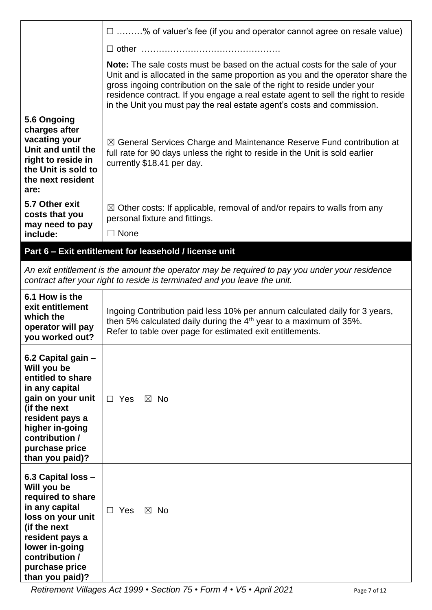|                                                                                                                                                                                                            | $\Box$ % of valuer's fee (if you and operator cannot agree on resale value)                                                                                                                                                                                                                                                                                                                              |  |  |  |  |
|------------------------------------------------------------------------------------------------------------------------------------------------------------------------------------------------------------|----------------------------------------------------------------------------------------------------------------------------------------------------------------------------------------------------------------------------------------------------------------------------------------------------------------------------------------------------------------------------------------------------------|--|--|--|--|
|                                                                                                                                                                                                            |                                                                                                                                                                                                                                                                                                                                                                                                          |  |  |  |  |
|                                                                                                                                                                                                            | Note: The sale costs must be based on the actual costs for the sale of your<br>Unit and is allocated in the same proportion as you and the operator share the<br>gross ingoing contribution on the sale of the right to reside under your<br>residence contract. If you engage a real estate agent to sell the right to reside<br>in the Unit you must pay the real estate agent's costs and commission. |  |  |  |  |
| 5.6 Ongoing<br>charges after<br>vacating your<br>Unit and until the<br>right to reside in<br>the Unit is sold to<br>the next resident<br>are:                                                              | $\boxtimes$ General Services Charge and Maintenance Reserve Fund contribution at<br>full rate for 90 days unless the right to reside in the Unit is sold earlier<br>currently \$18.41 per day.                                                                                                                                                                                                           |  |  |  |  |
| 5.7 Other exit<br>costs that you<br>may need to pay<br>include:                                                                                                                                            | $\boxtimes$ Other costs: If applicable, removal of and/or repairs to walls from any<br>personal fixture and fittings.<br>$\Box$ None                                                                                                                                                                                                                                                                     |  |  |  |  |
|                                                                                                                                                                                                            | Part 6 - Exit entitlement for leasehold / license unit                                                                                                                                                                                                                                                                                                                                                   |  |  |  |  |
|                                                                                                                                                                                                            | An exit entitlement is the amount the operator may be required to pay you under your residence<br>contract after your right to reside is terminated and you leave the unit.                                                                                                                                                                                                                              |  |  |  |  |
| 6.1 How is the<br>exit entitlement<br>which the<br>operator will pay<br>you worked out?                                                                                                                    | Ingoing Contribution paid less 10% per annum calculated daily for 3 years,<br>then 5% calculated daily during the 4 <sup>th</sup> year to a maximum of 35%.<br>Refer to table over page for estimated exit entitlements.                                                                                                                                                                                 |  |  |  |  |
| 6.2 Capital gain -<br>Will you be<br>entitled to share<br>in any capital<br>gain on your unit<br>(if the next<br>resident pays a<br>higher in-going<br>contribution /<br>purchase price<br>than you paid)? | $\Box$ Yes<br>$\boxtimes$ No                                                                                                                                                                                                                                                                                                                                                                             |  |  |  |  |
| 6.3 Capital loss -<br>Will you be<br>required to share<br>in any capital<br>loss on your unit<br>(if the next<br>resident pays a<br>lower in-going<br>contribution /<br>purchase price<br>than you paid)?  | $\Box$ Yes<br>$\boxtimes$ No                                                                                                                                                                                                                                                                                                                                                                             |  |  |  |  |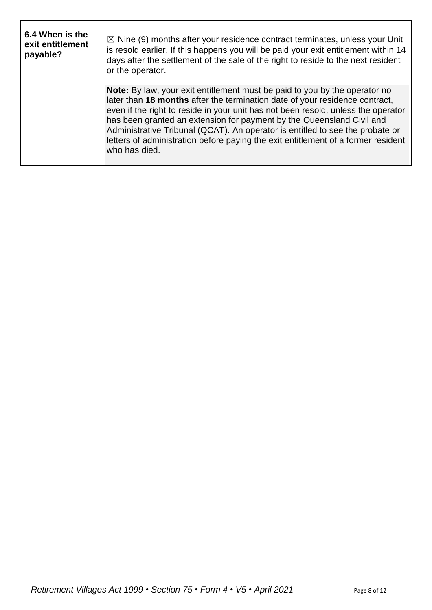| 6.4 When is the<br>exit entitlement<br>payable? | $\boxtimes$ Nine (9) months after your residence contract terminates, unless your Unit<br>is resold earlier. If this happens you will be paid your exit entitlement within 14<br>days after the settlement of the sale of the right to reside to the next resident<br>or the operator.                                                                                                                                                                                                                         |
|-------------------------------------------------|----------------------------------------------------------------------------------------------------------------------------------------------------------------------------------------------------------------------------------------------------------------------------------------------------------------------------------------------------------------------------------------------------------------------------------------------------------------------------------------------------------------|
|                                                 | Note: By law, your exit entitlement must be paid to you by the operator no<br>later than 18 months after the termination date of your residence contract,<br>even if the right to reside in your unit has not been resold, unless the operator<br>has been granted an extension for payment by the Queensland Civil and<br>Administrative Tribunal (QCAT). An operator is entitled to see the probate or<br>letters of administration before paying the exit entitlement of a former resident<br>who has died. |

 $\mathsf{r}$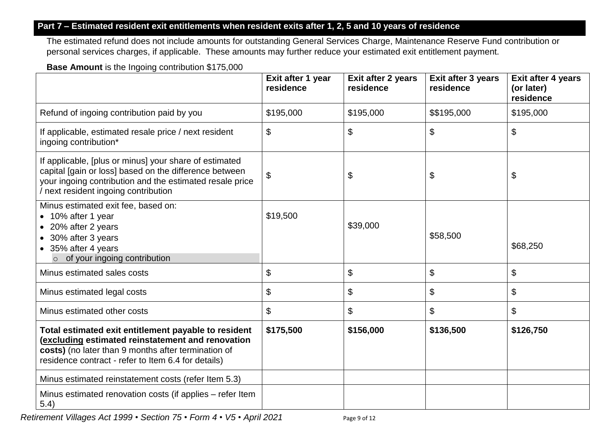## **Part 7 – Estimated resident exit entitlements when resident exits after 1, 2, 5 and 10 years of residence**

The estimated refund does not include amounts for outstanding General Services Charge, Maintenance Reserve Fund contribution or personal services charges, if applicable. These amounts may further reduce your estimated exit entitlement payment.

#### **Base Amount** is the Ingoing contribution \$175,000

|                                                                                                                                                                                                                         | Exit after 1 year<br>residence | Exit after 2 years<br>residence | Exit after 3 years<br>residence | Exit after 4 years<br>(or later)<br>residence |
|-------------------------------------------------------------------------------------------------------------------------------------------------------------------------------------------------------------------------|--------------------------------|---------------------------------|---------------------------------|-----------------------------------------------|
| Refund of ingoing contribution paid by you                                                                                                                                                                              | \$195,000                      | \$195,000                       | \$\$195,000                     | \$195,000                                     |
| If applicable, estimated resale price / next resident<br>ingoing contribution*                                                                                                                                          | \$                             | \$                              | \$                              | \$                                            |
| If applicable, [plus or minus] your share of estimated<br>capital [gain or loss] based on the difference between<br>your ingoing contribution and the estimated resale price<br>/ next resident ingoing contribution    | \$                             | \$                              | \$                              | \$                                            |
| Minus estimated exit fee, based on:<br>• 10% after 1 year<br>• 20% after 2 years<br>• 30% after 3 years<br>• 35% after 4 years<br>$\circ$ of your ingoing contribution                                                  | \$19,500                       | \$39,000                        | \$58,500                        | \$68,250                                      |
| Minus estimated sales costs                                                                                                                                                                                             | \$                             | \$                              | \$                              | $\boldsymbol{\mathsf{S}}$                     |
| Minus estimated legal costs                                                                                                                                                                                             | \$                             | \$                              | \$                              | \$                                            |
| Minus estimated other costs                                                                                                                                                                                             | \$                             | \$                              | \$                              | $\boldsymbol{\mathsf{S}}$                     |
| Total estimated exit entitlement payable to resident<br>(excluding estimated reinstatement and renovation<br>costs) (no later than 9 months after termination of<br>residence contract - refer to Item 6.4 for details) | \$175,500                      | \$156,000                       | \$136,500                       | \$126,750                                     |
| Minus estimated reinstatement costs (refer Item 5.3)                                                                                                                                                                    |                                |                                 |                                 |                                               |
| Minus estimated renovation costs (if applies – refer Item<br>5.4)                                                                                                                                                       |                                |                                 |                                 |                                               |

*Retirement Villages Act 1999* • *Section 75* • *Form 4* • *V5 • April 2021* Page 9 of 12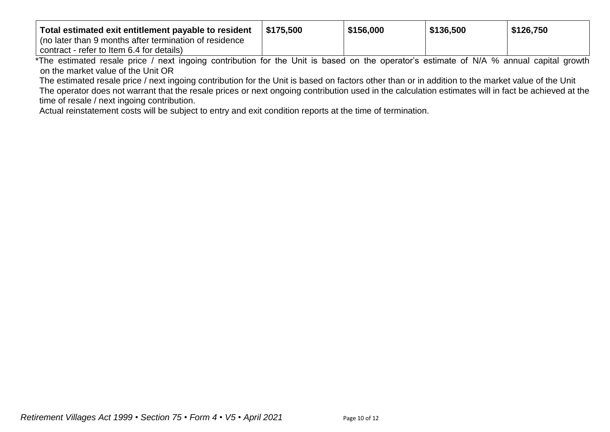| Total estimated exit entitlement payable to resident                                                                                                   | \$175.500 | \$156,000 | \$136,500 | \$126,750 |
|--------------------------------------------------------------------------------------------------------------------------------------------------------|-----------|-----------|-----------|-----------|
| l (no later than 9 months after termination of residence                                                                                               |           |           |           |           |
| contract - refer to Item 6.4 for details)                                                                                                              |           |           |           |           |
| *The estimated resale price $\ell$ peyt ingging contribution for the Unit is begad on the eperator's estimate of N $\ell$ $\ell$ annual conital grouth |           |           |           |           |

The estimated resale price / next ingoing contribution for the Unit is based on the operator's estimate of N/A % annual capital growth on the market value of the Unit OR

The estimated resale price / next ingoing contribution for the Unit is based on factors other than or in addition to the market value of the Unit The operator does not warrant that the resale prices or next ongoing contribution used in the calculation estimates will in fact be achieved at the time of resale / next ingoing contribution.

Actual reinstatement costs will be subject to entry and exit condition reports at the time of termination.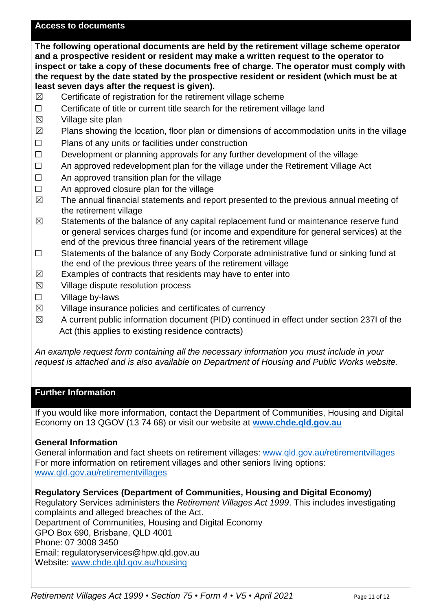#### **Access to documents**

**The following operational documents are held by the retirement village scheme operator and a prospective resident or resident may make a written request to the operator to inspect or take a copy of these documents free of charge. The operator must comply with the request by the date stated by the prospective resident or resident (which must be at least seven days after the request is given).** 

- $\boxtimes$  Certificate of registration for the retirement village scheme
- ☐ Certificate of title or current title search for the retirement village land
- $\boxtimes$  Village site plan
- $\boxtimes$  Plans showing the location, floor plan or dimensions of accommodation units in the village
- ☐ Plans of any units or facilities under construction
- $\Box$  Development or planning approvals for any further development of the village
- □ An approved redevelopment plan for the village under the Retirement Village Act
- □ An approved transition plan for the village
- $\Box$  An approved closure plan for the village
- $\boxtimes$  The annual financial statements and report presented to the previous annual meeting of the retirement village
- $\boxtimes$  Statements of the balance of any capital replacement fund or maintenance reserve fund or general services charges fund (or income and expenditure for general services) at the end of the previous three financial years of the retirement village
- ☐ Statements of the balance of any Body Corporate administrative fund or sinking fund at the end of the previous three years of the retirement village
- $\boxtimes$  Examples of contracts that residents may have to enter into
- $\boxtimes$  Village dispute resolution process
- ☐ Village by-laws
- $\boxtimes$  Village insurance policies and certificates of currency
- $\boxtimes$  A current public information document (PID) continued in effect under section 237I of the Act (this applies to existing residence contracts)

*An example request form containing all the necessary information you must include in your request is attached and is also available on Department of Housing and Public Works website.*

# **Further Information**

If you would like more information, contact the Department of Communities, Housing and Digital Economy on 13 QGOV (13 74 68) or visit our website at **[www.chde.qld.gov.au](http://www.chde.qld.gov.au/)**

#### **General Information**

General information and fact sheets on retirement villages: [www.qld.gov.au/retirementvillages](http://www.qld.gov.au/retirementvillages) For more information on retirement villages and other seniors living options: [www.qld.gov.au/retirementvillages](http://www.qld.gov.au/retirementvillages)

#### **Regulatory Services (Department of Communities, Housing and Digital Economy)**

Regulatory Services administers the *Retirement Villages Act 1999*. This includes investigating complaints and alleged breaches of the Act.

Department of Communities, Housing and Digital Economy GPO Box 690, Brisbane, QLD 4001

Phone: 07 3008 3450

Email: regulatoryservices@hpw.qld.gov.au

Website: [www.chde.qld.gov.au/housing](http://www.chde.qld.gov.au/housing)